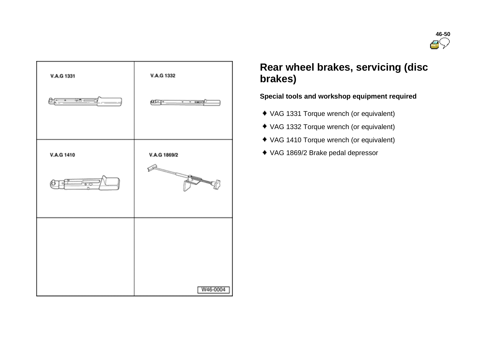



# **Rear wheel brakes, servicing (disc brakes)**

# **Special tools and workshop equipment required**

- VAG 1331 Torque wrench (or equivalent)
- VAG 1332 Torque wrench (or equivalent)
- VAG 1410 Torque wrench (or equivalent)
- VAG 1869/2 Brake pedal depressor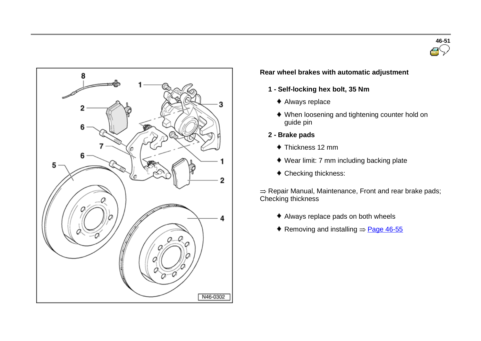



## **Rear wheel brakes with automatic adjustment**

- **1 - Self-locking hex bolt, 35 Nm**
	- Always replace
	- When loosening and tightening counter hold on guide pin
- **2 - Brake pads**
	- Thickness 12 mm
	- Wear limit: 7 mm including backing plate
	- Checking thickness:

 $\Rightarrow$  Repair Manual, Maintenance, Front and rear brake pads; Checking thickness

- Always replace pads on both wheels
- Removing and installing  $=$  Page 46-55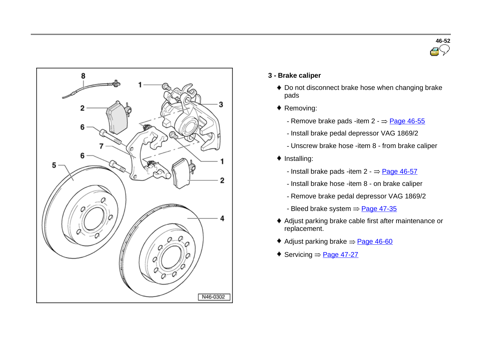



- **3 - Brake caliper**
	- ◆ Do not disconnect brake hose when changing brake pads
	- ◆ Removing:
		- Remove brake pads -item  $2 \frac{p_{\text{age}}}{46-55}$
		- Install brake pedal depressor VAG 1869/2
		- Unscrew brake hose -item 8 from brake caliper
	- $\bullet$  Installing:
		- Install brake pads -item  $2 \frac{Page 46-57}{2}$
		- Install brake hose -item 8 on brake caliper
		- Remove brake pedal depressor VAG 1869/2
		- Bleed brake system  $\Rightarrow$  Page 47-35
	- Adjust parking brake cable first after maintenance or replacement.
	- Adjust parking brake  $\Rightarrow$  Page 46-60
	- Servicing  $=$  Page 47-27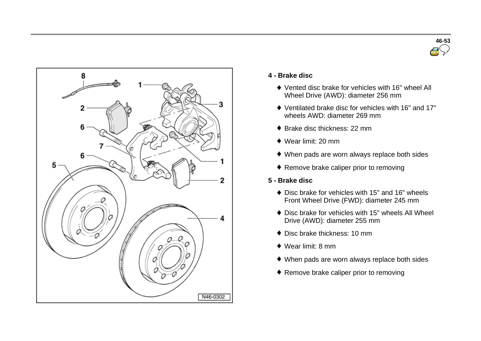



#### **4 - Brake disc**

- Vented disc brake for vehicles with 16" wheel All Wheel Drive (AWD): diameter 256 mm
- Ventilated brake disc for vehicles with 16" and 17" wheels AWD: diameter 269 mm
- ◆ Brake disc thickness: 22 mm
- Wear limit: 20 mm
- When pads are worn always replace both sides
- ◆ Remove brake caliper prior to removing
- **5 - Brake disc**
	- ◆ Disc brake for vehicles with 15" and 16" wheels Front Wheel Drive (FWD): diameter 245 mm
	- Disc brake for vehicles with 15" wheels All Wheel Drive (AWD): diameter 255 mm
	- Disc brake thickness: 10 mm
	- Wear limit: 8 mm
	- When pads are worn always replace both sides
	- ◆ Remove brake caliper prior to removing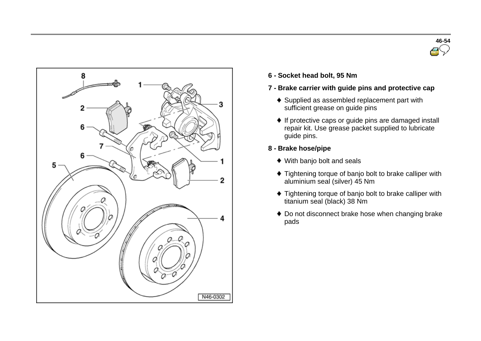



- **6 - Socket head bolt, <sup>95</sup> Nm**
- **7 - Brake carrier with guide pins and protective cap**
	- ◆ Supplied as assembled replacement part with sufficient grease on guide pins
	- ♦ If protective caps or guide pins are damaged install repair kit. Use grease packet supplied to lubricate guide pins.
- **8 - Brake hose/pipe**
	- With banjo bolt and seals
	- ◆ Tightening torque of banjo bolt to brake calliper with aluminium seal (silver) 45 Nm
	- $\bullet$  Tightening torque of banjo bolt to brake calliper with titanium seal (black) 38 Nm
	- ◆ Do not disconnect brake hose when changing brake pads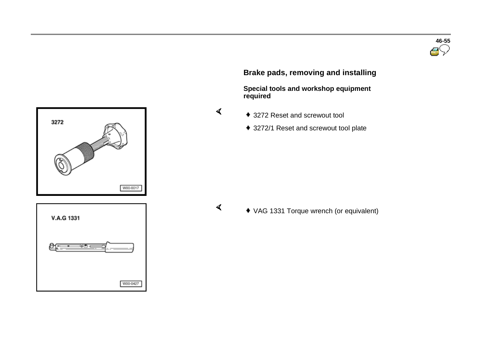



# **Brake pads, removing and installing**

 **Special tools and workshop equipment required** 

- - ◆ 3272 Reset and screwout tool
	- ◆ 3272/1 Reset and screwout tool plate

 $\blacktriangleleft$ 

 $\sigma$ 

VAG 1331 Torque wrench (or equivalent)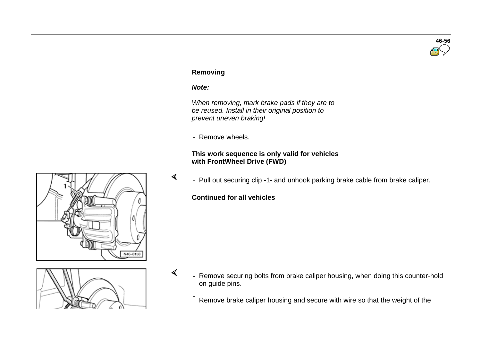# **46-56**

# **Removing**

#### *Note:*

 $\mathbf{A}$ 

 $\sigma$ 

 *When removing, mark brake pads if they are to be reused. Install in their original position to prevent uneven braking!*

- Remove wheels.

## **This work sequence is only valid for vehicles with FrontWheel Drive (FWD)**

- Pull out securing clip -1- and unhook parking brake cable from brake caliper.

# **Continued for all vehicles**

- 
- Remove securing bolts from brake caliper housing, when doing this counter-hold on guide pins.

Remove brake caliper housing and secure with wire so that the weight of the

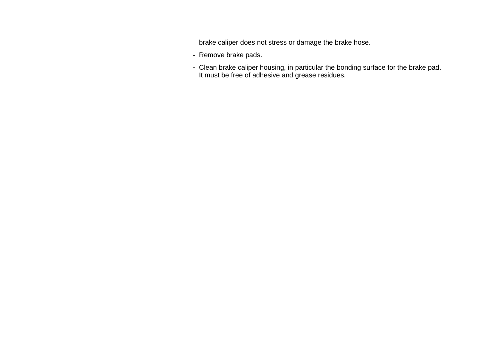brake caliper does not stress or damage the brake hose.

- Remove brake pads.
- Clean brake caliper housing, in particular the bonding surface for the brake pad. It must be free of adhesive and grease residues.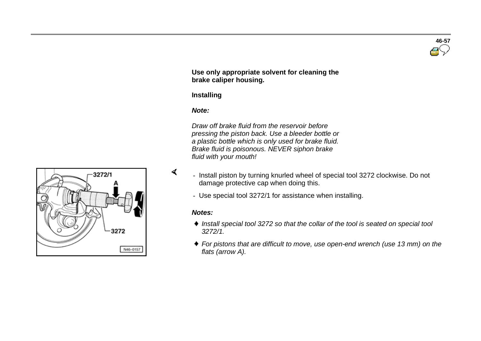**Use only appropriate solvent for cleaning the brake caliper housing.**

#### **Installing**

#### *Note:*

 *Draw off brake fluid from the reservoir before pressing the piston back. Use a bleeder bottle or a plastic bottle which is only used for brake fluid. Brake fluid is poisonous. NEVER siphon brake fluid with your mouth!*

- Install piston by turning knurled wheel of special tool 3272 clockwise. Do not damage protective cap when doing this.
- Use special tool 3272/1 for assistance when installing.

#### *Notes:*

 $\prec$ 

- *Install special tool 3272 so that the collar of the tool is seated on special tool 3272/1.*
- *For pistons that are difficult to move, use open-end wrench (use 13 mm) on the flats (arrow A).*



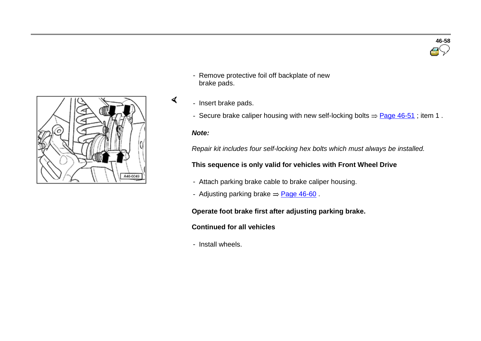

- Remove protective foil off backplate of new brake pads.
- Insert brake pads.
	- Secure brake caliper housing with new self-locking bolts  $\Rightarrow$  Page 46-51; item 1.

#### *Note:*

 $\blacktriangleleft$ 

*Repair kit includes four self-locking hex bolts which must always be installed.*

# **This sequence is only valid for vehicles with Front Wheel Drive**

- Attach parking brake cable to brake caliper housing.
- Adjusting parking brake  $\Rightarrow$  Page 46-60.

#### **Operate foot brake first after adjusting parking brake.**

# **Continued for all vehicles**

- Install wheels.

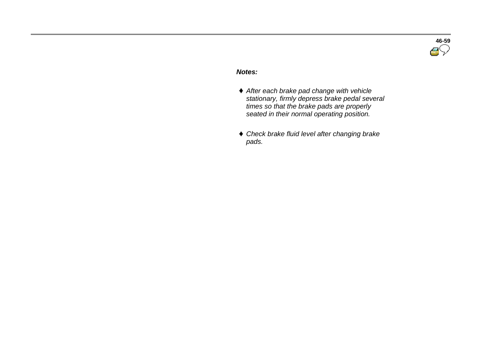

#### *Notes:*

- *After each brake pad change with vehicle stationary, firmly depress brake pedal several times so that the brake pads are properly seated in their normal operating position.*
- *Check brake fluid level after changing brake pads.*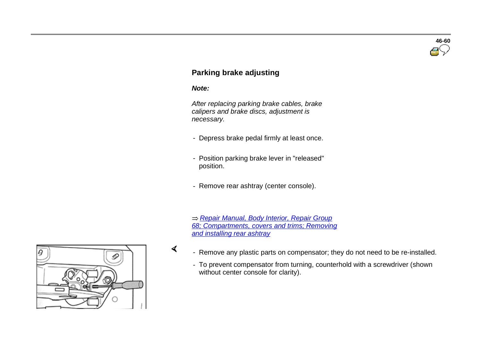# **46-60**

# **Parking brake adjusting**

#### *Note:*

 $\sigma$ 

 *After replacing parking brake cables, brake calipers and brake discs, adjustment is necessary.*

- Depress brake pedal firmly at least once.
- Position parking brake lever in "released" position.
- Remove rear ashtray (center console).

 *Repair Manual, Body Interior, Repair Group 68; Compartments, covers and trims; Removing and installing rear ashtray*

- Remove any plastic parts on compensator; they do not need to be re-installed.
	- To prevent compensator from turning, counterhold with a screwdriver (shown without center console for clarity).

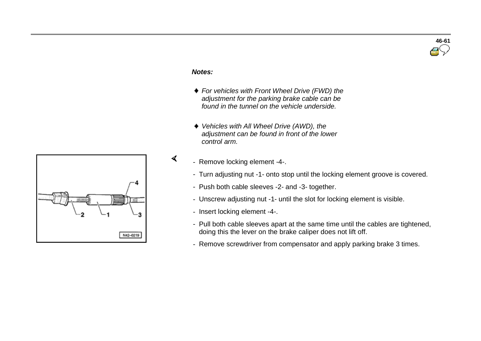

#### *Notes:*

 $\blacktriangleleft$ 

- *For vehicles with Front Wheel Drive (FWD) the adjustment for the parking brake cable can be found in the tunnel on the vehicle underside.*
- *Vehicles with All Wheel Drive (AWD), the adjustment can be found in front of the lower control arm.*
- Remove locking element -4-.
	- Turn adjusting nut -1- onto stop until the locking element groove is covered.
	- Push both cable sleeves -2- and -3- together.
	- Unscrew adjusting nut -1- until the slot for locking element is visible.
	- Insert locking element -4-.
	- Pull both cable sleeves apart at the same time until the cables are tightened, doing this the lever on the brake caliper does not lift off.
	- Remove screwdriver from compensator and apply parking brake 3 times.

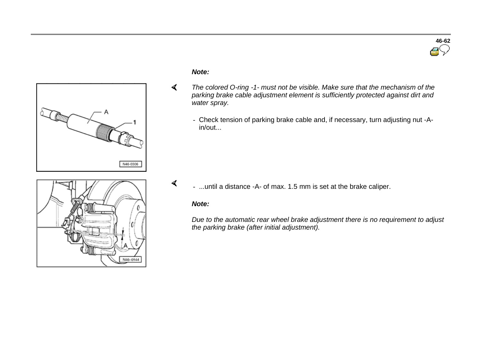



## *Note:*

- $\blacktriangleleft$  *The colored O-ring -1- must not be visible. Make sure that the mechanism of the parking brake cable adjustment element is sufficiently protected against dirt and water spray.*
	- Check tension of parking brake cable and, if necessary, turn adjusting nut -Ain/out...



- ...until a distance -A- of max. 1.5 mm is set at the brake caliper.

## *Note:*

 $\mathcal{L}$ 

*Due to the automatic rear wheel brake adjustment there is no requirement to adjust the parking brake (after initial adjustment).*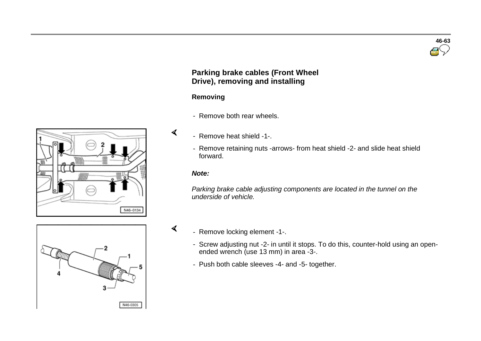# **Parking brake cables (Front Wheel Drive), removing and installing**

## **Removing**

- Remove both rear wheels.
- Remove heat shield -1-.
- Remove retaining nuts -arrows- from heat shield -2- and slide heat shield forward.

#### *Note:*

 $\sigma$ 

 $\mathcal{L}$ 

*Parking brake cable adjusting components are located in the tunnel on the underside of vehicle.*



- Remove locking element -1-.
	- Screw adjusting nut -2- in until it stops. To do this, counter-hold using an openended wrench (use 13 mm) in area -3-.
	- Push both cable sleeves -4- and -5- together.



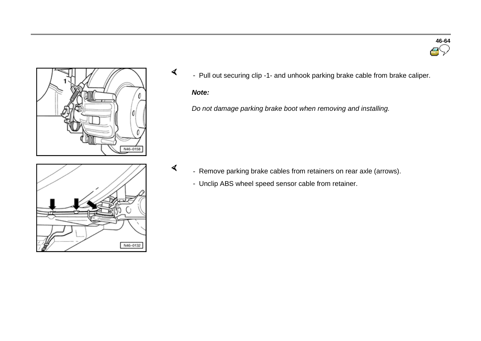

- Pull out securing clip -1- and unhook parking brake cable from brake caliper.

# *Note:*

 $\prec$ 

 $\blacktriangleleft$ 

*Do not damage parking brake boot when removing and installing.*



- Remove parking brake cables from retainers on rear axle (arrows).
	- Unclip ABS wheel speed sensor cable from retainer.

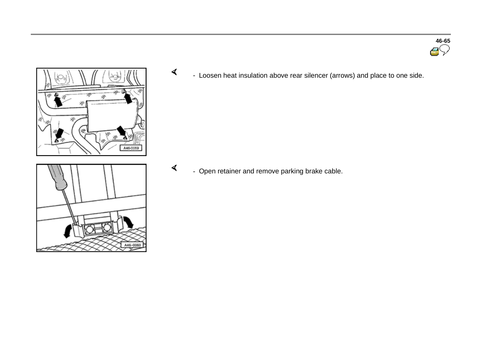



 $\prec$ - Loosen heat insulation above rear silencer (arrows) and place to one side.

 $\blacktriangleleft$ - Open retainer and remove parking brake cable.

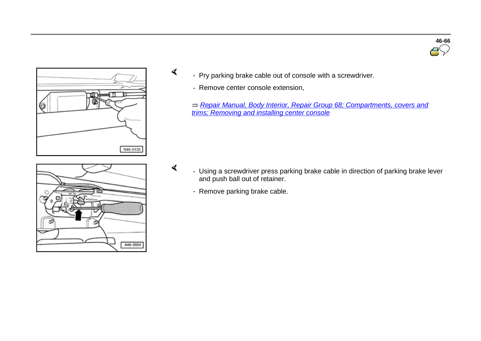

**46-66**



- Pry parking brake cable out of console with a screwdriver.
	- Remove center console extension,

 $\prec$ 

 $\blacktriangleleft$ 

*Repair Manual, Body Interior, Repair Group 68; Compartments, covers and trims; Removing and installing center console*



- Using a screwdriver press parking brake cable in direction of parking brake lever and push ball out of retainer.
	- Remove parking brake cable.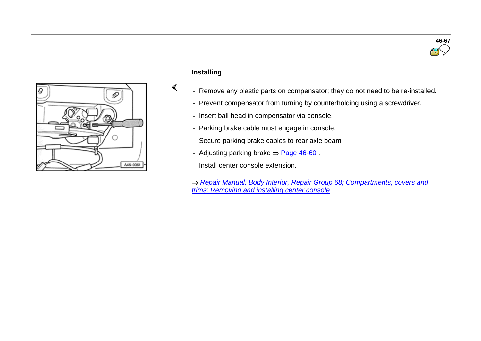



# **Installing**

 $\blacktriangleleft$ 

- Remove any plastic parts on compensator; they do not need to be re-installed.
- Prevent compensator from turning by counterholding using a screwdriver.
- Insert ball head in compensator via console.
- Parking brake cable must engage in console.
- Secure parking brake cables to rear axle beam.
- Adjusting parking brake  $=$  Page 46-60.
- Install center console extension.

*Repair Manual, Body Interior, Repair Group 68; Compartments, covers and trims; Removing and installing center console*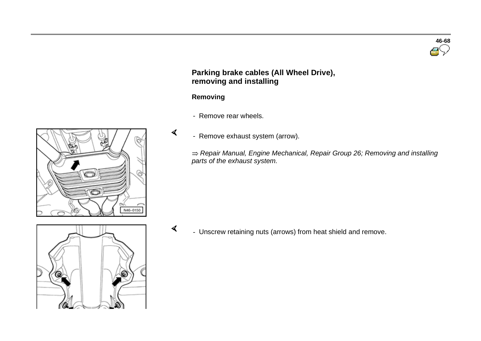# **Parking brake cables (All Wheel Drive), removing and installing**

# **Removing**

 $\blacktriangleleft$ 

- Remove rear wheels.
- Remove exhaust system (arrow).

*Repair Manual, Engine Mechanical, Repair Group 26; Removing and installing parts of the exhaust system.*



 $\sigma$ - Unscrew retaining nuts (arrows) from heat shield and remove.



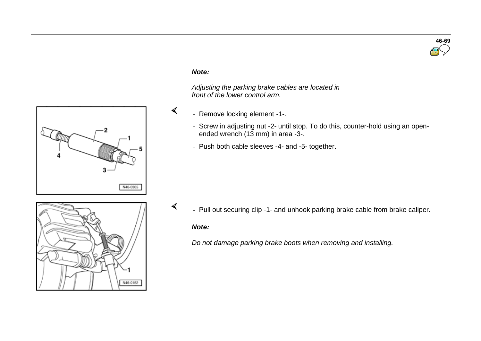

#### *Note:*

 $\blacktriangleleft$ 

 *Adjusting the parking brake cables are located in front of the lower control arm.*

- Remove locking element -1-.
	- Screw in adjusting nut -2- until stop. To do this, counter-hold using an openended wrench (13 mm) in area -3-.
	- Push both cable sleeves -4- and -5- together.

- N46-0152
- $\sigma$ - Pull out securing clip -1- and unhook parking brake cable from brake caliper.

#### *Note:*

*Do not damage parking brake boots when removing and installing.*

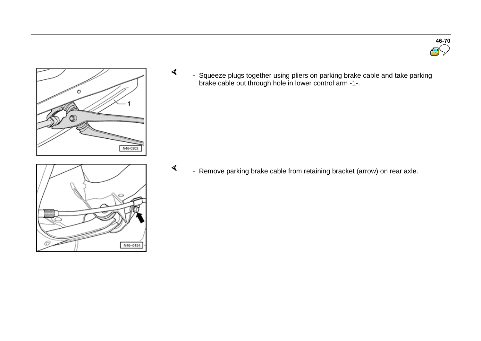



 $\prec$ 

 - Squeeze plugs together using pliers on parking brake cable and take parking brake cable out through hole in lower control arm -1-.

 $\blacktriangleleft$ - Remove parking brake cable from retaining bracket (arrow) on rear axle.

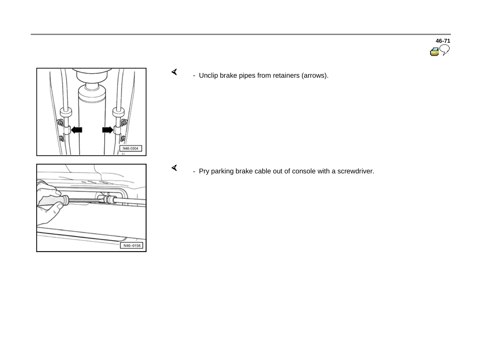

 $\prec$ - Unclip brake pipes from retainers (arrows).

- Pry parking brake cable out of console with a screwdriver.



 $\blacktriangleleft$ 

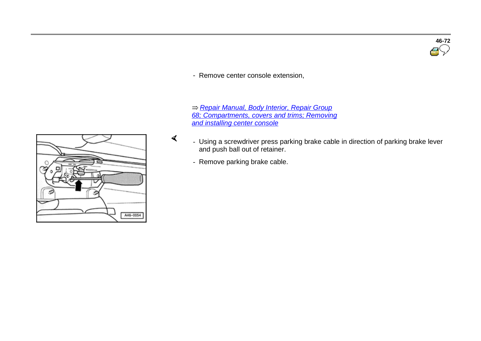

- Remove center console extension,

 *Repair Manual, Body Interior, Repair Group 68; Compartments, covers and trims; Removing and installing center console*

- Using a screwdriver press parking brake cable in direction of parking brake lever and push ball out of retainer.
	- Remove parking brake cable.

 $\blacktriangleleft$ 

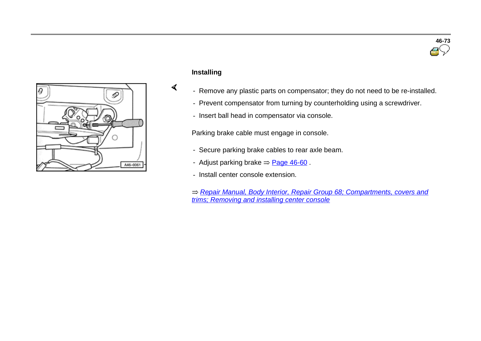



# **Installing**

 $\blacktriangleleft$ 

- Remove any plastic parts on compensator; they do not need to be re-installed.
- Prevent compensator from turning by counterholding using a screwdriver.
- Insert ball head in compensator via console.

Parking brake cable must engage in console.

- Secure parking brake cables to rear axle beam.
- Adjust parking brake  $=$  Page 46-60.
- Install center console extension.
- *Repair Manual, Body Interior, Repair Group 68; Compartments, covers and trims; Removing and installing center console*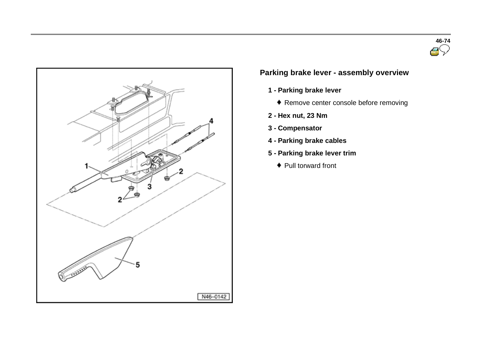



# **Parking brake lever - assembly overview**

- **1 - Parking brake lever**
	- Remove center console before removing
- **2 - Hex nut, 23 Nm**
- **3 - Compensator**
- **4 - Parking brake cables**
- **5 - Parking brake lever trim**
	- ◆ Pull torward front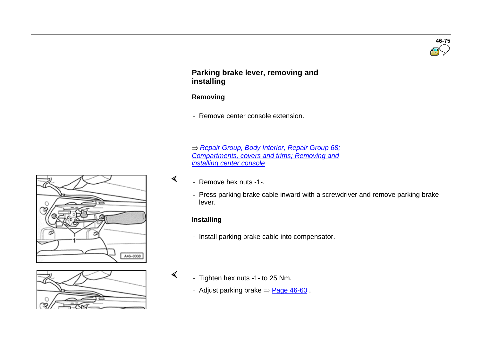

# **Parking brake lever, removing and installing**

# **Removing**

- Remove center console extension.

 *Repair Group, Body Interior, Repair Group 68; Compartments, covers and trims; Removing and installing center console*

- Remove hex nuts -1-.
- Press parking brake cable inward with a screwdriver and remove parking brake lever.

## **Installing**

 $\prec$ 

 $\mathcal{L}$ 

- Install parking brake cable into compensator.



- Tighten hex nuts -1- to 25 Nm.
	- Adjust parking brake  $=$  Page 46-60.